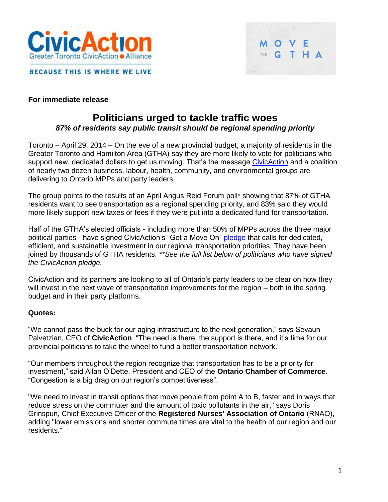



**BECAUSE THIS IS WHERE WE LIVE** 

#### **For immediate release**

# **Politicians urged to tackle traffic woes** *87% of residents say public transit should be regional spending priority*

Toronto – April 29, 2014 – On the eve of a new provincial budget, a majority of residents in the Greater Toronto and Hamilton Area (GTHA) say they are more likely to vote for politicians who support new, dedicated dollars to get us moving. That's the message [CivicAction](http://www.civicaction.ca/) and a coalition of nearly two dozen business, labour, health, community, and environmental groups are delivering to Ontario MPPs and party leaders.

The group points to the results of an April Angus Reid Forum poll\* showing that 87% of GTHA residents want to see transportation as a regional spending priority, and 83% said they would more likely support new taxes or fees if they were put into a dedicated fund for transportation.

Half of the GTHA's elected officials - including more than 50% of MPPs across the three major political parties - have signed CivicAction's "Get a Move On" [pledge](http://www.your32.com/) that calls for dedicated, efficient, and sustainable investment in our regional transportation priorities. They have been joined by thousands of GTHA residents. *\*\*See the full list below of politicians who have signed the CivicAction pledge.*

CivicAction and its partners are looking to all of Ontario's party leaders to be clear on how they will invest in the next wave of transportation improvements for the region – both in the spring budget and in their party platforms.

#### **Quotes:**

"We cannot pass the buck for our aging infrastructure to the next generation," says Sevaun Palvetzian, CEO of **CivicAction**. "The need is there, the support is there, and it's time for our provincial politicians to take the wheel to fund a better transportation network."

"Our members throughout the region recognize that transportation has to be a priority for investment," said Allan O'Dette, President and CEO of the **Ontario Chamber of Commerce**. "Congestion is a big drag on our region's competitiveness".

"We need to invest in transit options that move people from point A to B, faster and in ways that reduce stress on the commuter and the amount of toxic pollutants in the air," says Doris Grinspun, Chief Executive Officer of the **Registered Nurses' Association of Ontario** (RNAO), adding "lower emissions and shorter commute times are vital to the health of our region and our residents."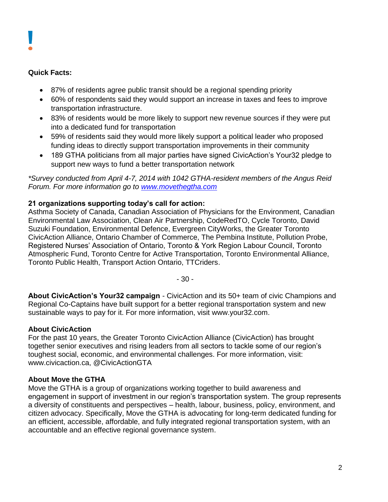#### **Quick Facts:**

- 87% of residents agree public transit should be a regional spending priority
- 60% of respondents said they would support an increase in taxes and fees to improve transportation infrastructure.
- 83% of residents would be more likely to support new revenue sources if they were put into a dedicated fund for transportation
- 59% of residents said they would more likely support a political leader who proposed funding ideas to directly support transportation improvements in their community
- 189 GTHA politicians from all major parties have signed CivicAction's Your32 pledge to support new ways to fund a better transportation network

*\*Survey conducted from April 4-7, 2014 with 1042 GTHA-resident members of the Angus Reid Forum. For more information go to [www.movethegtha.com](http://www.movethegtha.com/)*

### **21 organizations supporting today's call for action:**

Asthma Society of Canada, Canadian Association of Physicians for the Environment, Canadian Environmental Law Association, Clean Air Partnership, CodeRedTO, Cycle Toronto, David Suzuki Foundation, Environmental Defence, Evergreen CityWorks, the Greater Toronto CivicAction Alliance, Ontario Chamber of Commerce, The Pembina Institute, Pollution Probe, Registered Nurses' Association of Ontario, Toronto & York Region Labour Council, Toronto Atmospheric Fund, Toronto Centre for Active Transportation, Toronto Environmental Alliance, Toronto Public Health, Transport Action Ontario, TTCriders.

- 30 -

**About CivicAction's Your32 campaign** - CivicAction and its 50+ team of civic Champions and Regional Co-Captains have built support for a better regional transportation system and new sustainable ways to pay for it. For more information, visit www.your32.com.

### **About CivicAction**

For the past 10 years, the Greater Toronto CivicAction Alliance (CivicAction) has brought together senior executives and rising leaders from all sectors to tackle some of our region's toughest social, economic, and environmental challenges. For more information, visit: www.civicaction.ca, @CivicActionGTA

### **About Move the GTHA**

Move the GTHA is a group of organizations working together to build awareness and engagement in support of investment in our region's transportation system. The group represents a diversity of constituents and perspectives – health, labour, business, policy, environment, and citizen advocacy. Specifically, Move the GTHA is advocating for long-term dedicated funding for an efficient, accessible, affordable, and fully integrated regional transportation system, with an accountable and an effective regional governance system.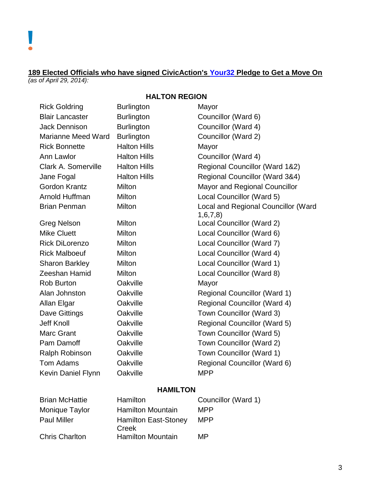#### **189 Elected Officials who have signed CivicAction's [Your32](http://www.your32.com/) Pledge to Get a Move On** *(as of April 29, 2014):*

## **HALTON REGION**

| <b>Rick Goldring</b>      | <b>Burlington</b>   | Mayor                                          |
|---------------------------|---------------------|------------------------------------------------|
| <b>Blair Lancaster</b>    | <b>Burlington</b>   | Councillor (Ward 6)                            |
| <b>Jack Dennison</b>      | <b>Burlington</b>   | Councillor (Ward 4)                            |
| <b>Marianne Meed Ward</b> | <b>Burlington</b>   | Councillor (Ward 2)                            |
| <b>Rick Bonnette</b>      | <b>Halton Hills</b> | Mayor                                          |
| Ann Lawlor                | <b>Halton Hills</b> | Councillor (Ward 4)                            |
| Clark A. Somerville       | <b>Halton Hills</b> | Regional Councillor (Ward 1&2)                 |
| Jane Fogal                | <b>Halton Hills</b> | Regional Councillor (Ward 3&4)                 |
| <b>Gordon Krantz</b>      | <b>Milton</b>       | Mayor and Regional Councillor                  |
| Arnold Huffman            | Milton              | Local Councillor (Ward 5)                      |
| <b>Brian Penman</b>       | Milton              | Local and Regional Councillor (Ward<br>1,6,7,8 |
| <b>Greg Nelson</b>        | Milton              | Local Councillor (Ward 2)                      |
| <b>Mike Cluett</b>        | Milton              | Local Councillor (Ward 6)                      |
| <b>Rick DiLorenzo</b>     | Milton              | Local Councillor (Ward 7)                      |
| <b>Rick Malboeuf</b>      | Milton              | Local Councillor (Ward 4)                      |
| <b>Sharon Barkley</b>     | Milton              | Local Councillor (Ward 1)                      |
| Zeeshan Hamid             | Milton              | Local Councillor (Ward 8)                      |
| <b>Rob Burton</b>         | Oakville            | Mayor                                          |
| Alan Johnston             | Oakville            | <b>Regional Councillor (Ward 1)</b>            |
| Allan Elgar               | Oakville            | <b>Regional Councillor (Ward 4)</b>            |
| <b>Dave Gittings</b>      | Oakville            | Town Councillor (Ward 3)                       |
| <b>Jeff Knoll</b>         | Oakville            | Regional Councillor (Ward 5)                   |
| <b>Marc Grant</b>         | Oakville            | Town Councillor (Ward 5)                       |
| Pam Damoff                | Oakville            | Town Councillor (Ward 2)                       |
| Ralph Robinson            | Oakville            | Town Councillor (Ward 1)                       |
| <b>Tom Adams</b>          | Oakville            | Regional Councillor (Ward 6)                   |
| <b>Kevin Daniel Flynn</b> | Oakville            | <b>MPP</b>                                     |
|                           |                     |                                                |

#### **HAMILTON**

| <b>Brian McHattie</b> | Hamilton                             | Councillor (Ward 1) |
|-----------------------|--------------------------------------|---------------------|
| Monique Taylor        | <b>Hamilton Mountain</b>             | <b>MPP</b>          |
| <b>Paul Miller</b>    | <b>Hamilton East-Stoney</b><br>Creek | <b>MPP</b>          |
| <b>Chris Charlton</b> | <b>Hamilton Mountain</b>             | MP                  |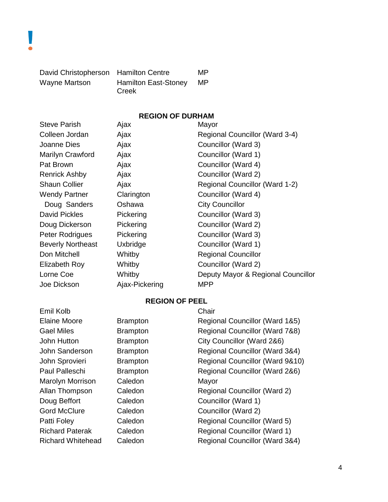| David Christopherson Hamilton Centre |                             | MP |
|--------------------------------------|-----------------------------|----|
| Wayne Martson                        | <b>Hamilton East-Stoney</b> | MP |
|                                      | Creek                       |    |

# **REGION OF DURHAM**

| <b>Steve Parish</b>      | Ajax           | Mayor                              |
|--------------------------|----------------|------------------------------------|
| Colleen Jordan           | Ajax           | Regional Councillor (Ward 3-4)     |
| Joanne Dies              | Ajax           | Councillor (Ward 3)                |
| Marilyn Crawford         | Ajax           | Councillor (Ward 1)                |
| Pat Brown                | Ajax           | Councillor (Ward 4)                |
| <b>Renrick Ashby</b>     | Ajax           | Councillor (Ward 2)                |
| <b>Shaun Collier</b>     | Ajax           | Regional Councillor (Ward 1-2)     |
| <b>Wendy Partner</b>     | Clarington     | Councillor (Ward 4)                |
| Doug Sanders             | Oshawa         | <b>City Councillor</b>             |
| <b>David Pickles</b>     | Pickering      | Councillor (Ward 3)                |
| Doug Dickerson           | Pickering      | Councillor (Ward 2)                |
| Peter Rodrigues          | Pickering      | Councillor (Ward 3)                |
| <b>Beverly Northeast</b> | Uxbridge       | Councillor (Ward 1)                |
| Don Mitchell             | Whitby         | <b>Regional Councillor</b>         |
| Elizabeth Roy            | Whitby         | Councillor (Ward 2)                |
| Lorne Coe                | Whitby         | Deputy Mayor & Regional Councillor |
| Joe Dickson              | Ajax-Pickering | <b>MPP</b>                         |

# **REGION OF PEEL**

| Emil Kolb                |                 | Chair                               |
|--------------------------|-----------------|-------------------------------------|
| <b>Elaine Moore</b>      | <b>Brampton</b> | Regional Councillor (Ward 1&5)      |
| <b>Gael Miles</b>        | <b>Brampton</b> | Regional Councillor (Ward 7&8)      |
| John Hutton              | <b>Brampton</b> | City Councillor (Ward 2&6)          |
| John Sanderson           | <b>Brampton</b> | Regional Councillor (Ward 3&4)      |
| John Sprovieri           | <b>Brampton</b> | Regional Councillor (Ward 9&10)     |
| Paul Palleschi           | <b>Brampton</b> | Regional Councillor (Ward 2&6)      |
| Marolyn Morrison         | Caledon         | Mayor                               |
| Allan Thompson           | Caledon         | Regional Councillor (Ward 2)        |
| Doug Beffort             | Caledon         | Councillor (Ward 1)                 |
| <b>Gord McClure</b>      | Caledon         | Councillor (Ward 2)                 |
| Patti Foley              | Caledon         | <b>Regional Councillor (Ward 5)</b> |
| <b>Richard Paterak</b>   | Caledon         | <b>Regional Councillor (Ward 1)</b> |
| <b>Richard Whitehead</b> | Caledon         | Regional Councillor (Ward 3&4)      |
|                          |                 |                                     |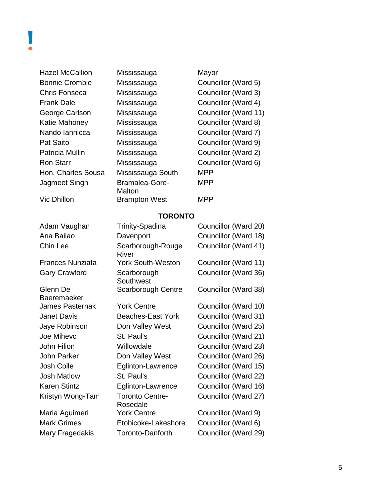Hazel McCallion Mississauga Mayor Bonnie Crombie Mississauga Councillor (Ward 5) Chris Fonseca Mississauga Councillor (Ward 3) Frank Dale Mississauga Councillor (Ward 4) George Carlson Mississauga Councillor (Ward 11) Katie Mahoney Mississauga Councillor (Ward 8) Nando Iannicca Mississauga Councillor (Ward 7) Pat Saito **Mississauga** Councillor (Ward 9) Patricia Mullin Mississauga Councillor (Ward 2) Ron Starr Mississauga Councillor (Ward 6) Hon. Charles Sousa Mississauga South MPP Jagmeet Singh Bramalea-Gore-

**Malton** Vic Dhillon Brampton West MPP

MPP

#### **TORONTO**

| Adam Vaughan            | Trinity-Spadina                    | Councillor (Ward 20) |
|-------------------------|------------------------------------|----------------------|
| Ana Bailao              | Davenport                          | Councillor (Ward 18) |
| Chin Lee                | Scarborough-Rouge<br>River         | Councillor (Ward 41) |
| <b>Frances Nunziata</b> | <b>York South-Weston</b>           | Councillor (Ward 11) |
| <b>Gary Crawford</b>    | Scarborough<br>Southwest           | Councillor (Ward 36) |
| Glenn De<br>Baeremaeker | Scarborough Centre                 | Councillor (Ward 38) |
| James Pasternak         | <b>York Centre</b>                 | Councillor (Ward 10) |
| Janet Davis             | <b>Beaches-East York</b>           | Councillor (Ward 31) |
| Jaye Robinson           | Don Valley West                    | Councillor (Ward 25) |
| <b>Joe Mihevc</b>       | St. Paul's                         | Councillor (Ward 21) |
| John Filion             | Willowdale                         | Councillor (Ward 23) |
| John Parker             | Don Valley West                    | Councillor (Ward 26) |
| Josh Colle              | Eglinton-Lawrence                  | Councillor (Ward 15) |
| <b>Josh Matlow</b>      | St. Paul's                         | Councillor (Ward 22) |
| Karen Stintz            | Eglinton-Lawrence                  | Councillor (Ward 16) |
| Kristyn Wong-Tam        | <b>Toronto Centre-</b><br>Rosedale | Councillor (Ward 27) |
| Maria Aguimeri          | <b>York Centre</b>                 | Councillor (Ward 9)  |
| <b>Mark Grimes</b>      | Etobicoke-Lakeshore                | Councillor (Ward 6)  |
| Mary Fragedakis         | Toronto-Danforth                   | Councillor (Ward 29) |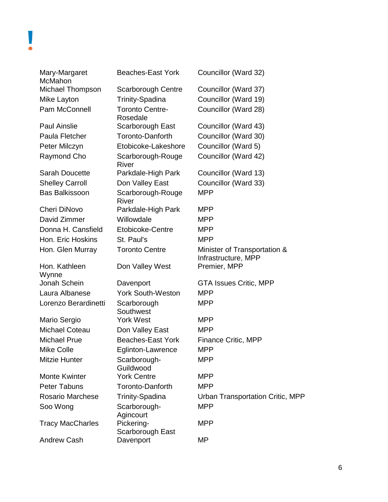| Mary-Margaret<br>McMahon | <b>Beaches-East York</b>           | Councillor (Ward 32)                                |
|--------------------------|------------------------------------|-----------------------------------------------------|
| <b>Michael Thompson</b>  | <b>Scarborough Centre</b>          | Councillor (Ward 37)                                |
| Mike Layton              | <b>Trinity-Spadina</b>             | Councillor (Ward 19)                                |
| Pam McConnell            | <b>Toronto Centre-</b><br>Rosedale | Councillor (Ward 28)                                |
| <b>Paul Ainslie</b>      | Scarborough East                   | Councillor (Ward 43)                                |
| Paula Fletcher           | <b>Toronto-Danforth</b>            | Councillor (Ward 30)                                |
| Peter Milczyn            | Etobicoke-Lakeshore                | Councillor (Ward 5)                                 |
| Raymond Cho              | Scarborough-Rouge<br>River         | Councillor (Ward 42)                                |
| <b>Sarah Doucette</b>    | Parkdale-High Park                 | Councillor (Ward 13)                                |
| <b>Shelley Carroll</b>   | Don Valley East                    | Councillor (Ward 33)                                |
| <b>Bas Balkissoon</b>    | Scarborough-Rouge<br><b>River</b>  | <b>MPP</b>                                          |
| <b>Cheri DiNovo</b>      | Parkdale-High Park                 | MPP                                                 |
| David Zimmer             | Willowdale                         | MPP                                                 |
| Donna H. Cansfield       | Etobicoke-Centre                   | MPP                                                 |
| Hon. Eric Hoskins        | St. Paul's                         | <b>MPP</b>                                          |
| Hon. Glen Murray         | <b>Toronto Centre</b>              | Minister of Transportation &<br>Infrastructure, MPP |
| Hon. Kathleen<br>Wynne   | Don Valley West                    | Premier, MPP                                        |
| Jonah Schein             | Davenport                          | <b>GTA Issues Critic, MPP</b>                       |
| Laura Albanese           | <b>York South-Weston</b>           | MPP                                                 |
| Lorenzo Berardinetti     | Scarborough<br>Southwest           | <b>MPP</b>                                          |
| Mario Sergio             | <b>York West</b>                   | MPP                                                 |
| <b>Michael Coteau</b>    | Don Valley East                    | <b>MPP</b>                                          |
| <b>Michael Prue</b>      | <b>Beaches-East York</b>           | <b>Finance Critic, MPP</b>                          |
| <b>Mike Colle</b>        | Eglinton-Lawrence                  | <b>MPP</b>                                          |
| <b>Mitzie Hunter</b>     | Scarborough-<br>Guildwood          | <b>MPP</b>                                          |
| <b>Monte Kwinter</b>     | <b>York Centre</b>                 | <b>MPP</b>                                          |
| <b>Peter Tabuns</b>      | Toronto-Danforth                   | <b>MPP</b>                                          |
| <b>Rosario Marchese</b>  | <b>Trinity-Spadina</b>             | Urban Transportation Critic, MPP                    |
| Soo Wong                 | Scarborough-<br>Agincourt          | <b>MPP</b>                                          |
| <b>Tracy MacCharles</b>  | Pickering-<br>Scarborough East     | <b>MPP</b>                                          |
| <b>Andrew Cash</b>       | Davenport                          | МP                                                  |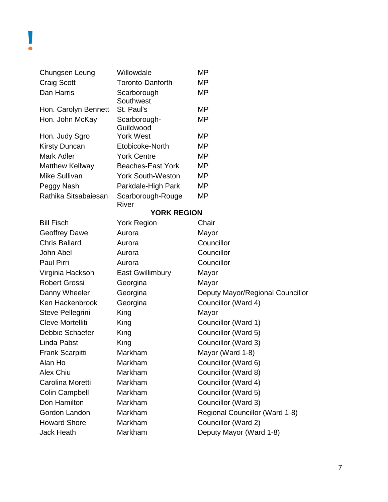| Chungsen Leung         | Willowdale                 | MΡ    |
|------------------------|----------------------------|-------|
| <b>Craig Scott</b>     | Toronto-Danforth           | MΡ    |
| Dan Harris             | Scarborough<br>Southwest   | МP    |
| Hon. Carolyn Bennett   | St. Paul's                 | MP    |
| Hon. John McKay        | Scarborough-<br>Guildwood  | МP    |
| Hon. Judy Sgro         | <b>York West</b>           | МP    |
| <b>Kirsty Duncan</b>   | Etobicoke-North            | MΡ    |
| Mark Adler             | <b>York Centre</b>         | МP    |
| <b>Matthew Kellway</b> | Beaches-East York          | MР    |
| Mike Sullivan          | York South-Weston          | MΡ    |
| Peggy Nash             | Parkdale-High Park         | МP    |
| Rathika Sitsabaiesan   | Scarborough-Rouge<br>River | MΡ    |
|                        | <b>YORK REGION</b>         |       |
| <b>Bill Fisch</b>      | <b>York Region</b>         | Chair |
| Geoffrey Dawe          | Aurora                     | Mavo  |

| BIII FISCH           | YORK Region      | Unair                            |
|----------------------|------------------|----------------------------------|
| <b>Geoffrey Dawe</b> | Aurora           | Mayor                            |
| <b>Chris Ballard</b> | Aurora           | Councillor                       |
| John Abel            | Aurora           | Councillor                       |
| <b>Paul Pirri</b>    | Aurora           | Councillor                       |
| Virginia Hackson     | East Gwillimbury | Mayor                            |
| <b>Robert Grossi</b> | Georgina         | Mayor                            |
| Danny Wheeler        | Georgina         | Deputy Mayor/Regional Councillor |
| Ken Hackenbrook      | Georgina         | Councillor (Ward 4)              |
| Steve Pellegrini     | King             | Mayor                            |
| Cleve Mortelliti     | King             | Councillor (Ward 1)              |
| Debbie Schaefer      | King             | Councillor (Ward 5)              |
| Linda Pabst          | King             | Councillor (Ward 3)              |
| Frank Scarpitti      | Markham          | Mayor (Ward 1-8)                 |
| Alan Ho              | Markham          | Councillor (Ward 6)              |
| Alex Chiu            | Markham          | Councillor (Ward 8)              |
| Carolina Moretti     | Markham          | Councillor (Ward 4)              |
| Colin Campbell       | Markham          | Councillor (Ward 5)              |
| Don Hamilton         | Markham          | Councillor (Ward 3)              |
| Gordon Landon        | Markham          | Regional Councillor (Ward 1-8)   |
| <b>Howard Shore</b>  | Markham          | Councillor (Ward 2)              |
| Jack Heath           | Markham          | Deputy Mayor (Ward 1-8)          |
|                      |                  |                                  |